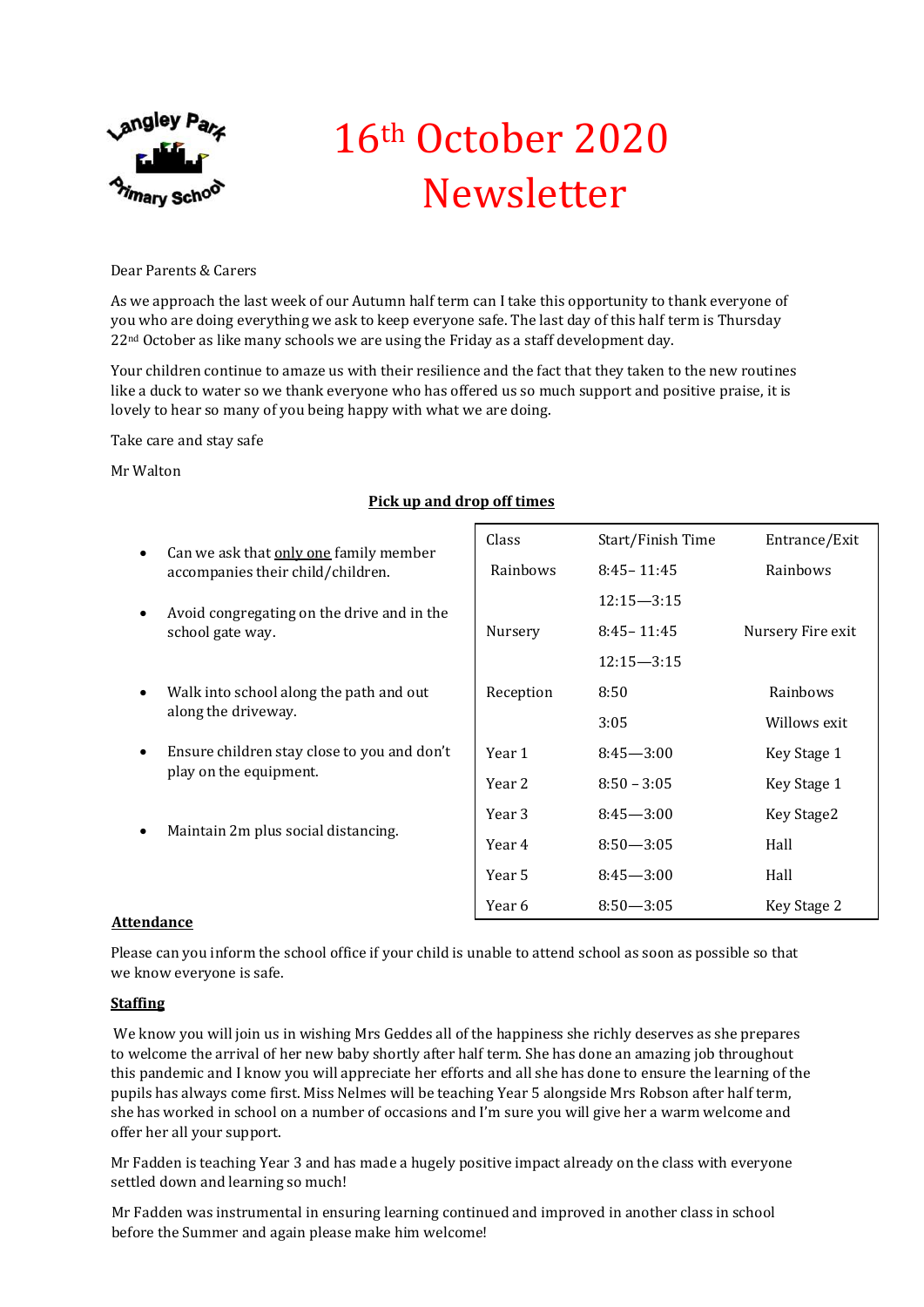

# 16th October 2020 Newsletter

Dear Parents & Carers

As we approach the last week of our Autumn half term can I take this opportunity to thank everyone of you who are doing everything we ask to keep everyone safe. The last day of this half term is Thursday  $22<sup>nd</sup>$  October as like many schools we are using the Friday as a staff development day.

Your children continue to amaze us with their resilience and the fact that they taken to the new routines like a duck to water so we thank everyone who has offered us so much support and positive praise, it is lovely to hear so many of you being happy with what we are doing.

Take care and stay safe

Mr Walton

## **Pick up and drop off times**

| $\bullet$ | Can we ask that only one family member                                | Class     | Start/Finish Time | Entrance/Exit     |
|-----------|-----------------------------------------------------------------------|-----------|-------------------|-------------------|
|           | accompanies their child/children.                                     | Rainbows  | $8:45 - 11:45$    | Rainbows          |
| $\bullet$ | Avoid congregating on the drive and in the<br>school gate way.        |           | $12:15 - 3:15$    |                   |
|           |                                                                       | Nursery   | $8:45 - 11:45$    | Nursery Fire exit |
|           |                                                                       |           | $12:15 - 3:15$    |                   |
| $\bullet$ | Walk into school along the path and out<br>along the driveway.        | Reception | 8:50              | Rainbows          |
|           |                                                                       |           | 3:05              | Willows exit      |
| $\bullet$ | Ensure children stay close to you and don't<br>play on the equipment. | Year 1    | $8:45 - 3:00$     | Key Stage 1       |
|           |                                                                       | Year 2    | $8:50 - 3:05$     | Key Stage 1       |
| $\bullet$ | Maintain 2m plus social distancing.                                   | Year 3    | $8:45 - 3:00$     | Key Stage2        |
|           |                                                                       | Year 4    | $8:50 - 3:05$     | Hall              |
|           |                                                                       | Year 5    | $8:45 - 3:00$     | Hall              |
| . 1       |                                                                       | Year 6    | $8:50 - 3:05$     | Key Stage 2       |

## **Attendance**

Please can you inform the school office if your child is unable to attend school as soon as possible so that we know everyone is safe.

## **Staffing**

We know you will join us in wishing Mrs Geddes all of the happiness she richly deserves as she prepares to welcome the arrival of her new baby shortly after half term. She has done an amazing job throughout this pandemic and I know you will appreciate her efforts and all she has done to ensure the learning of the pupils has always come first. Miss Nelmes will be teaching Year 5 alongside Mrs Robson after half term, she has worked in school on a number of occasions and I'm sure you will give her a warm welcome and offer her all your support.

Mr Fadden is teaching Year 3 and has made a hugely positive impact already on the class with everyone settled down and learning so much!

Mr Fadden was instrumental in ensuring learning continued and improved in another class in school before the Summer and again please make him welcome!